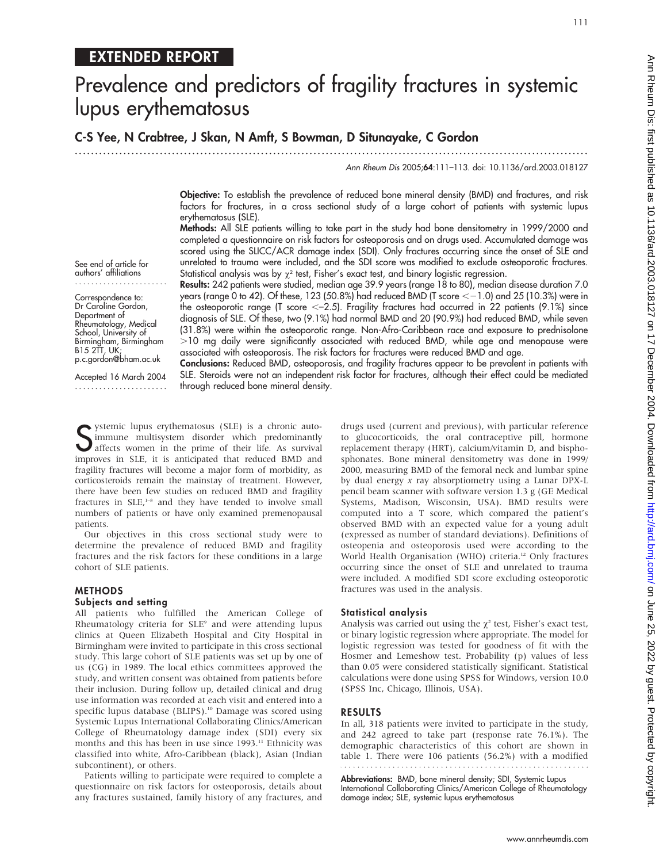## EXTENDED REPORT

# Prevalence and predictors of fragility fractures in systemic lupus erythematosus

## C-S Yee, N Crabtree, J Skan, N Amft, S Bowman, D Situnayake, C Gordon

...............................................................................................................................

Ann Rheum Dis 2005;64:111–113. doi: 10.1136/ard.2003.018127

Objective: To establish the prevalence of reduced bone mineral density (BMD) and fractures, and risk factors for fractures, in a cross sectional study of a large cohort of patients with systemic lupus erythematosus (SLE).

Methods: All SLE patients willing to take part in the study had bone densitometry in 1999/2000 and completed a questionnaire on risk factors for osteoporosis and on drugs used. Accumulated damage was scored using the SLICC/ACR damage index (SDI). Only fractures occurring since the onset of SLE and unrelated to trauma were included, and the SDI score was modified to exclude osteoporotic fractures. Statistical analysis was by  $\chi^2$  test, Fisher's exact test, and binary logistic regression.

See end of article for authors' affiliations .......................

Correspondence to: Dr Caroline Gordon, Department of Rheumatology, Medical School, University of Birmingham, Birmingham B15 2TT, UK; p.c.gordon@bham.ac.uk

Accepted 16 March 2004 .......................

Results: 242 patients were studied, median age 39.9 years (range 18 to 80), median disease duration 7.0 years (range 0 to 42). Of these, 123 (50.8%) had reduced BMD (T score  $<-1.0$ ) and 25 (10.3%) were in the osteoporotic range (T score  $\langle -2.5 \rangle$ . Fragility fractures had occurred in 22 patients (9.1%) since diagnosis of SLE. Of these, two (9.1%) had normal BMD and 20 (90.9%) had reduced BMD, while seven (31.8%) were within the osteoporotic range. Non-Afro-Caribbean race and exposure to prednisolone .10 mg daily were significantly associated with reduced BMD, while age and menopause were associated with osteoporosis. The risk factors for fractures were reduced BMD and age.

Conclusions: Reduced BMD, osteoporosis, and fragility fractures appear to be prevalent in patients with SLE. Steroids were not an independent risk factor for fractures, although their effect could be mediated through reduced bone mineral density.

Systemic lupus erythematosus (SLE) is a chronic auto-<br>
immune multisystem disorder which predominantly<br>
affects women in the prime of their life. As survival<br>
improves in SLE it is anticipated that reduced PMD and immune multisystem disorder which predominantly affects women in the prime of their life. As survival improves in SLE, it is anticipated that reduced BMD and fragility fractures will become a major form of morbidity, as corticosteroids remain the mainstay of treatment. However, there have been few studies on reduced BMD and fragility fractures in  $SLE,$ <sup>1-8</sup> and they have tended to involve small numbers of patients or have only examined premenopausal patients.

Our objectives in this cross sectional study were to determine the prevalence of reduced BMD and fragility fractures and the risk factors for these conditions in a large cohort of SLE patients.

#### **METHODS**

#### Subjects and setting

All patients who fulfilled the American College of Rheumatology criteria for SLE<sup>9</sup> and were attending lupus clinics at Queen Elizabeth Hospital and City Hospital in Birmingham were invited to participate in this cross sectional study. This large cohort of SLE patients was set up by one of us (CG) in 1989. The local ethics committees approved the study, and written consent was obtained from patients before their inclusion. During follow up, detailed clinical and drug use information was recorded at each visit and entered into a specific lupus database (BLIPS).<sup>10</sup> Damage was scored using Systemic Lupus International Collaborating Clinics/American College of Rheumatology damage index (SDI) every six months and this has been in use since 1993.<sup>11</sup> Ethnicity was classified into white, Afro-Caribbean (black), Asian (Indian subcontinent), or others.

Patients willing to participate were required to complete a questionnaire on risk factors for osteoporosis, details about any fractures sustained, family history of any fractures, and

drugs used (current and previous), with particular reference to glucocorticoids, the oral contraceptive pill, hormone replacement therapy (HRT), calcium/vitamin D, and bisphosphonates. Bone mineral densitometry was done in 1999/ 2000, measuring BMD of the femoral neck and lumbar spine by dual energy  $x$  ray absorptiometry using a Lunar DPX-L pencil beam scanner with software version 1.3 g (GE Medical Systems, Madison, Wisconsin, USA). BMD results were computed into a T score, which compared the patient's observed BMD with an expected value for a young adult (expressed as number of standard deviations). Definitions of osteopenia and osteoporosis used were according to the World Health Organisation (WHO) criteria.<sup>12</sup> Only fractures occurring since the onset of SLE and unrelated to trauma were included. A modified SDI score excluding osteoporotic fractures was used in the analysis.

#### Statistical analysis

Analysis was carried out using the  $\chi^2$  test, Fisher's exact test, or binary logistic regression where appropriate. The model for logistic regression was tested for goodness of fit with the Hosmer and Lemeshow test. Probability (p) values of less than 0.05 were considered statistically significant. Statistical calculations were done using SPSS for Windows, version 10.0 (SPSS Inc, Chicago, Illinois, USA).

#### RESULTS

In all, 318 patients were invited to participate in the study, and 242 agreed to take part (response rate 76.1%). The demographic characteristics of this cohort are shown in table 1. There were 106 patients (56.2%) with a modified

Abbreviations: BMD, bone mineral density; SDI, Systemic Lupus International Collaborating Clinics/American College of Rheumatology damage index; SLE, systemic lupus erythematosus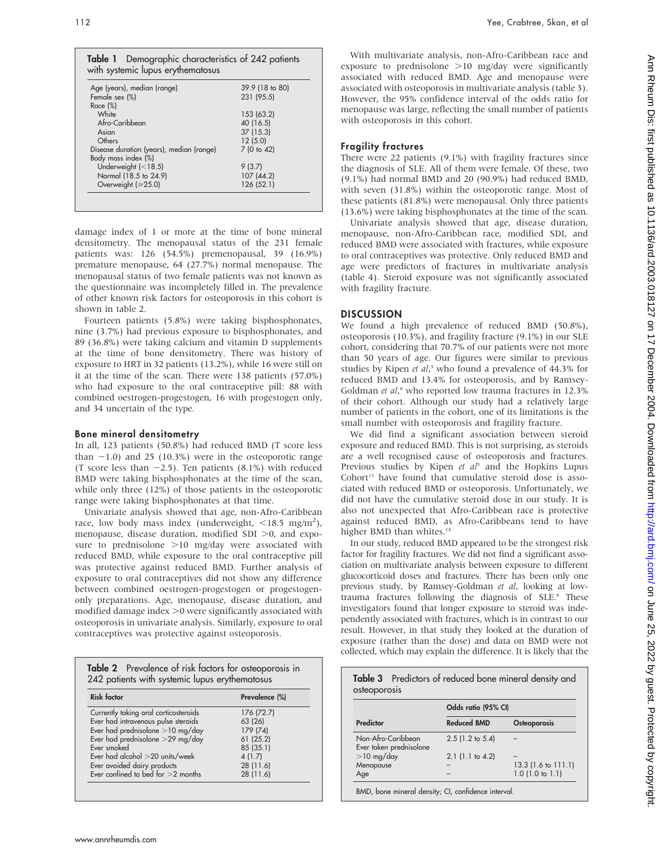| Age (years), median (range)              | 39.9 (18 to 80) |
|------------------------------------------|-----------------|
| Female sex (%)                           | 231 (95.5)      |
| Race (%)                                 |                 |
| White                                    | 153 (63.2)      |
| Afro-Caribbean                           | 40 (16.5)       |
| Asian                                    | 37 (15.3)       |
| Others                                   | 12(5.0)         |
| Disease duration (years), median (range) | 7 (0 to 42)     |
| Body mass index (%)                      |                 |
| Underweight $(<18.5)$                    | 9(3.7)          |
| Normal (18.5 to 24.9)                    | 107 (44.2)      |
| Overweight (≥25.0)                       | 126 (52.1)      |

damage index of 1 or more at the time of bone mineral densitometry. The menopausal status of the 231 female patients was: 126 (54.5%) premenopausal, 39 (16.9%) premature menopause, 64 (27.7%) normal menopause. The menopausal status of two female patients was not known as the questionnaire was incompletely filled in. The prevalence of other known risk factors for osteoporosis in this cohort is shown in table 2.

Fourteen patients (5.8%) were taking bisphosphonates, nine (3.7%) had previous exposure to bisphosphonates, and 89 (36.8%) were taking calcium and vitamin D supplements at the time of bone densitometry. There was history of exposure to HRT in 32 patients (13.2%), while 16 were still on it at the time of the scan. There were 138 patients (57.0%) who had exposure to the oral contraceptive pill: 88 with combined oestrogen-progestogen, 16 with progestogen only, and 34 uncertain of the type.

#### Bone mineral densitometry

In all, 123 patients (50.8%) had reduced BMD (T score less than  $-1.0$ ) and 25 (10.3%) were in the osteoporotic range (T score less than  $-2.5$ ). Ten patients (8.1%) with reduced BMD were taking bisphosphonates at the time of the scan, while only three (12%) of those patients in the osteoporotic range were taking bisphosphonates at that time.

Univariate analysis showed that age, non-Afro-Caribbean race, low body mass index (underweight, <18.5 mg/m<sup>2</sup>), menopause, disease duration, modified SDI  $>0$ , and exposure to prednisolone  $>10$  mg/day were associated with reduced BMD, while exposure to the oral contraceptive pill was protective against reduced BMD. Further analysis of exposure to oral contraceptives did not show any difference between combined oestrogen-progestogen or progestogenonly preparations. Age, menopause, disease duration, and modified damage index  $>0$  were significantly associated with osteoporosis in univariate analysis. Similarly, exposure to oral contraceptives was protective against osteoporosis.

|                                                | Table 2 Prevalence of risk factors for osteoporosis in |  |
|------------------------------------------------|--------------------------------------------------------|--|
| 242 patients with systemic lupus erythematosus |                                                        |  |

| <b>Risk factor</b>                    | Prevalence (%) |
|---------------------------------------|----------------|
| Currently taking oral corticosteroids | 176 (72.7)     |
| Ever had intravenous pulse steroids   | 63 (26)        |
| Ever had prednisolone $>10$ mg/day    | 179 (74)       |
| Ever had prednisolone >29 mg/day      | 61(25.2)       |
| Ever smoked                           | 85 (35.1)      |
| Ever had alcohol > 20 units/week      | 4(1.7)         |
| Ever avoided dairy products           | 28 (11.6)      |
| Ever confined to bed for $>2$ months  | 28 (11.6)      |

With multivariate analysis, non-Afro-Caribbean race and exposure to prednisolone  $>10$  mg/day were significantly associated with reduced BMD. Age and menopause were associated with osteoporosis in multivariate analysis (table 3). However, the 95% confidence interval of the odds ratio for menopause was large, reflecting the small number of patients with osteoporosis in this cohort.

### Fragility fractures

There were 22 patients (9.1%) with fragility fractures since the diagnosis of SLE. All of them were female. Of these, two (9.1%) had normal BMD and 20 (90.9%) had reduced BMD, with seven (31.8%) within the osteoporotic range. Most of these patients (81.8%) were menopausal. Only three patients (13.6%) were taking bisphosphonates at the time of the scan.

Univariate analysis showed that age, disease duration, menopause, non-Afro-Caribbean race, modified SDI, and reduced BMD were associated with fractures, while exposure to oral contraceptives was protective. Only reduced BMD and age were predictors of fractures in multivariate analysis (table 4). Steroid exposure was not significantly associated with fragility fracture.

## **DISCUSSION**

We found a high prevalence of reduced BMD (50.8%), osteoporosis (10.3%), and fragility fracture (9.1%) in our SLE cohort, considering that 70.7% of our patients were not more than 50 years of age. Our figures were similar to previous studies by Kipen et al,<sup>5</sup> who found a prevalence of 44.3% for reduced BMD and 13.4% for osteoporosis, and by Ramsey-Goldman et al,<sup>8</sup> who reported low trauma fractures in 12.3% of their cohort. Although our study had a relatively large number of patients in the cohort, one of its limitations is the small number with osteoporosis and fragility fracture.

We did find a significant association between steroid exposure and reduced BMD. This is not surprising, as steroids are a well recognised cause of osteoporosis and fractures. Previous studies by Kipen et  $a^1$ <sup>5</sup> and the Hopkins Lupus Cohort<sup>13</sup> have found that cumulative steroid dose is associated with reduced BMD or osteoporosis. Unfortunately, we did not have the cumulative steroid dose in our study. It is also not unexpected that Afro-Caribbean race is protective against reduced BMD, as Afro-Caribbeans tend to have higher BMD than whites.<sup>14</sup>

In our study, reduced BMD appeared to be the strongest risk factor for fragility fractures. We did not find a significant association on multivariate analysis between exposure to different glucocorticoid doses and fractures. There has been only one previous study, by Ramsey-Goldman et al, looking at lowtrauma fractures following the diagnosis of SLE.<sup>8</sup> These investigators found that longer exposure to steroid was independently associated with fractures, which is in contrast to our result. However, in that study they looked at the duration of exposure (rather than the dose) and data on BMD were not collected, which may explain the difference. It is likely that the

|                                               | Odds ratio (95% CI)   |                     |  |
|-----------------------------------------------|-----------------------|---------------------|--|
| Predictor                                     | <b>Reduced BMD</b>    | Osteoporosis        |  |
| Non-Afro-Caribbean<br>Ever taken prednisolone | $2.5$ (1.2 to $5.4$ ) |                     |  |
| $>$ 10 mg/day                                 | $2.1$ (1.1 to 4.2)    |                     |  |
| Menopause                                     |                       | 13.3 (1.6 to 111.1) |  |
| Age                                           |                       | $1.0$ (1.0 to 1.1)  |  |